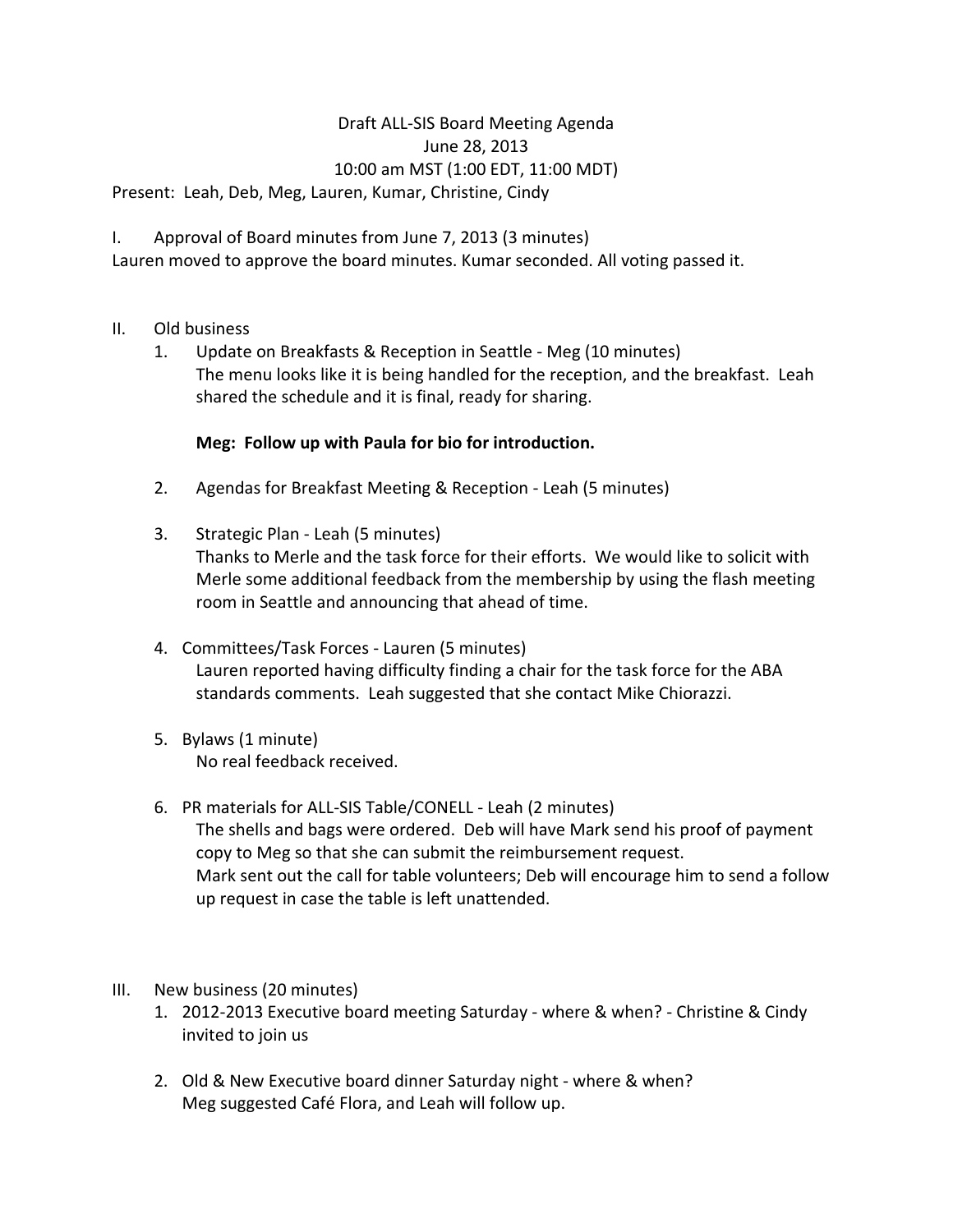## Draft ALL-SIS Board Meeting Agenda June 28, 2013 10:00 am MST (1:00 EDT, 11:00 MDT)

Present: Leah, Deb, Meg, Lauren, Kumar, Christine, Cindy

I. Approval of Board minutes from June 7, 2013 (3 minutes)

Lauren moved to approve the board minutes. Kumar seconded. All voting passed it.

## II. Old business

1. Update on Breakfasts & Reception in Seattle - Meg (10 minutes) The menu looks like it is being handled for the reception, and the breakfast. Leah shared the schedule and it is final, ready for sharing.

## **Meg: Follow up with Paula for bio for introduction.**

- 2. Agendas for Breakfast Meeting & Reception Leah (5 minutes)
- 3. Strategic Plan Leah (5 minutes) Thanks to Merle and the task force for their efforts. We would like to solicit with Merle some additional feedback from the membership by using the flash meeting room in Seattle and announcing that ahead of time.
- 4. Committees/Task Forces Lauren (5 minutes) Lauren reported having difficulty finding a chair for the task force for the ABA standards comments. Leah suggested that she contact Mike Chiorazzi.
- 5. Bylaws (1 minute) No real feedback received.
- 6. PR materials for ALL-SIS Table/CONELL Leah (2 minutes) The shells and bags were ordered. Deb will have Mark send his proof of payment copy to Meg so that she can submit the reimbursement request. Mark sent out the call for table volunteers; Deb will encourage him to send a follow up request in case the table is left unattended.
- III. New business (20 minutes)
	- 1. 2012-2013 Executive board meeting Saturday where & when? Christine & Cindy invited to join us
	- 2. Old & New Executive board dinner Saturday night where & when? Meg suggested Café Flora, and Leah will follow up.